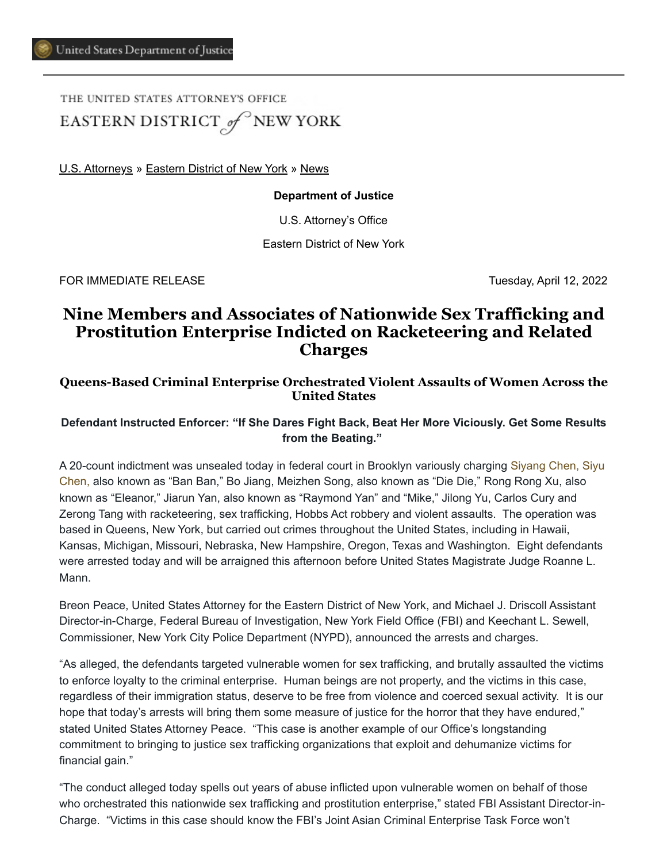THE UNITED STATES ATTORNEY'S OFFICE EASTERN DISTRICT of NEW YORK

[U.S. Attorneys](https://www.justice.gov/usao) » [Eastern District of New York](https://www.justice.gov/usao-edny) » [News](https://www.justice.gov/usao-edny/pr)

#### **Department of Justice**

U.S. Attorney's Office

Eastern District of New York

FOR IMMEDIATE RELEASE Tuesday, April 12, 2022

# **Nine Members and Associates of Nationwide Sex Trafficking and Prostitution Enterprise Indicted on Racketeering and Related Charges**

## **Queens-Based Criminal Enterprise Orchestrated Violent Assaults of Women Across the United States**

## **Defendant Instructed Enforcer: "If She Dares Fight Back, Beat Her More Viciously. Get Some Results from the Beating."**

A 20-count indictment was unsealed today in federal court in Brooklyn variously charging Siyang Chen, Siyu Chen, also known as "Ban Ban," Bo Jiang, Meizhen Song, also known as "Die Die," Rong Rong Xu, also known as "Eleanor," Jiarun Yan, also known as "Raymond Yan" and "Mike," Jilong Yu, Carlos Cury and Zerong Tang with racketeering, sex trafficking, Hobbs Act robbery and violent assaults. The operation was based in Queens, New York, but carried out crimes throughout the United States, including in Hawaii, Kansas, Michigan, Missouri, Nebraska, New Hampshire, Oregon, Texas and Washington. Eight defendants were arrested today and will be arraigned this afternoon before United States Magistrate Judge Roanne L. Mann.

Breon Peace, United States Attorney for the Eastern District of New York, and Michael J. Driscoll Assistant Director-in-Charge, Federal Bureau of Investigation, New York Field Office (FBI) and Keechant L. Sewell, Commissioner, New York City Police Department (NYPD), announced the arrests and charges.

"As alleged, the defendants targeted vulnerable women for sex trafficking, and brutally assaulted the victims to enforce loyalty to the criminal enterprise. Human beings are not property, and the victims in this case, regardless of their immigration status, deserve to be free from violence and coerced sexual activity. It is our hope that today's arrests will bring them some measure of justice for the horror that they have endured," stated United States Attorney Peace. "This case is another example of our Office's longstanding commitment to bringing to justice sex trafficking organizations that exploit and dehumanize victims for financial gain."

"The conduct alleged today spells out years of abuse inflicted upon vulnerable women on behalf of those who orchestrated this nationwide sex trafficking and prostitution enterprise," stated FBI Assistant Director-in-Charge. "Victims in this case should know the FBI's Joint Asian Criminal Enterprise Task Force won't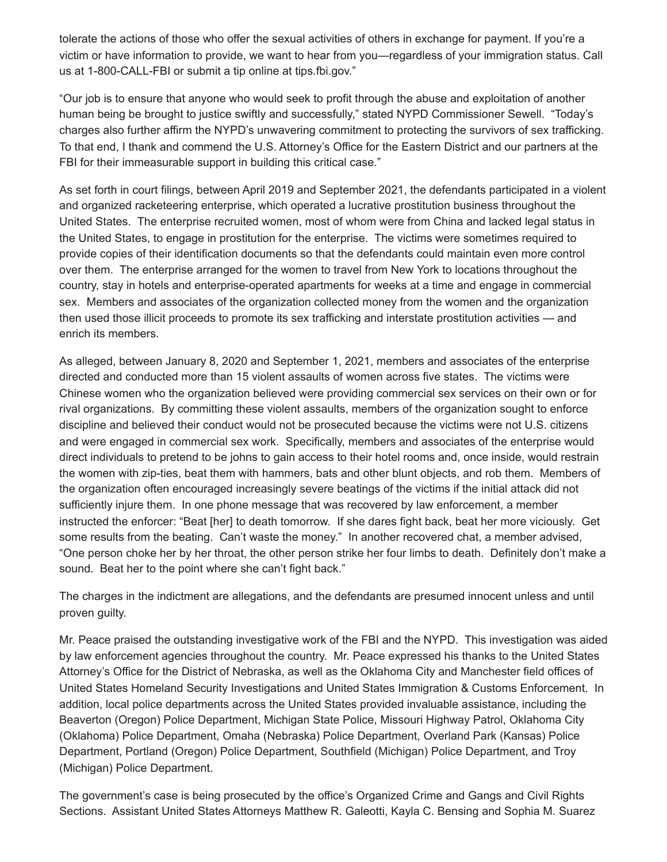tolerate the actions of those who offer the sexual activities of others in exchange for payment. If you're a victim or have information to provide, we want to hear from you—regardless of your immigration status. Call us at 1-800-CALL-FBI or submit a tip online at tips.fbi.gov."

"Our job is to ensure that anyone who would seek to profit through the abuse and exploitation of another human being be brought to justice swiftly and successfully," stated NYPD Commissioner Sewell. "Today's charges also further affirm the NYPD's unwavering commitment to protecting the survivors of sex trafficking. To that end, I thank and commend the U.S. Attorney's Office for the Eastern District and our partners at the FBI for their immeasurable support in building this critical case."

As set forth in court filings, between April 2019 and September 2021, the defendants participated in a violent and organized racketeering enterprise, which operated a lucrative prostitution business throughout the United States. The enterprise recruited women, most of whom were from China and lacked legal status in the United States, to engage in prostitution for the enterprise. The victims were sometimes required to provide copies of their identification documents so that the defendants could maintain even more control over them. The enterprise arranged for the women to travel from New York to locations throughout the country, stay in hotels and enterprise-operated apartments for weeks at a time and engage in commercial sex. Members and associates of the organization collected money from the women and the organization then used those illicit proceeds to promote its sex trafficking and interstate prostitution activities — and enrich its members.

As alleged, between January 8, 2020 and September 1, 2021, members and associates of the enterprise directed and conducted more than 15 violent assaults of women across five states. The victims were Chinese women who the organization believed were providing commercial sex services on their own or for rival organizations. By committing these violent assaults, members of the organization sought to enforce discipline and believed their conduct would not be prosecuted because the victims were not U.S. citizens and were engaged in commercial sex work. Specifically, members and associates of the enterprise would direct individuals to pretend to be johns to gain access to their hotel rooms and, once inside, would restrain the women with zip-ties, beat them with hammers, bats and other blunt objects, and rob them. Members of the organization often encouraged increasingly severe beatings of the victims if the initial attack did not sufficiently injure them. In one phone message that was recovered by law enforcement, a member instructed the enforcer: "Beat [her] to death tomorrow. If she dares fight back, beat her more viciously. Get some results from the beating. Can't waste the money." In another recovered chat, a member advised, "One person choke her by her throat, the other person strike her four limbs to death. Definitely don't make a sound. Beat her to the point where she can't fight back."

The charges in the indictment are allegations, and the defendants are presumed innocent unless and until proven guilty.

Mr. Peace praised the outstanding investigative work of the FBI and the NYPD. This investigation was aided by law enforcement agencies throughout the country. Mr. Peace expressed his thanks to the United States Attorney's Office for the District of Nebraska, as well as the Oklahoma City and Manchester field offices of United States Homeland Security Investigations and United States Immigration & Customs Enforcement. In addition, local police departments across the United States provided invaluable assistance, including the Beaverton (Oregon) Police Department, Michigan State Police, Missouri Highway Patrol, Oklahoma City (Oklahoma) Police Department, Omaha (Nebraska) Police Department, Overland Park (Kansas) Police Department, Portland (Oregon) Police Department, Southfield (Michigan) Police Department, and Troy (Michigan) Police Department.

The government's case is being prosecuted by the office's Organized Crime and Gangs and Civil Rights Sections. Assistant United States Attorneys Matthew R. Galeotti, Kayla C. Bensing and Sophia M. Suarez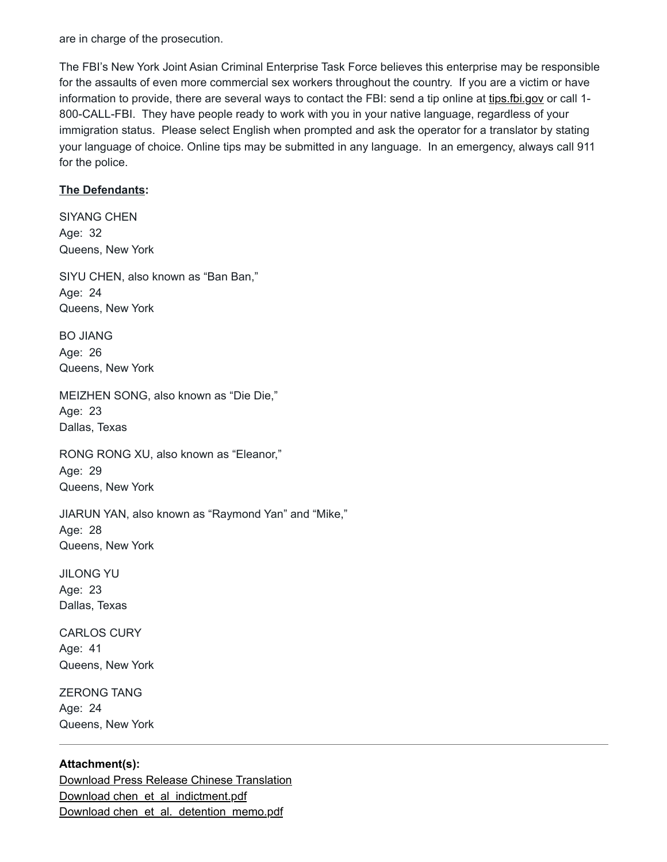are in charge of the prosecution.

The FBI's New York Joint Asian Criminal Enterprise Task Force believes this enterprise may be responsible for the assaults of even more commercial sex workers throughout the country. If you are a victim or have information to provide, there are several ways to contact the FBI: send a tip online at [tips.fbi.gov](https://www.justice.gov/tips.fbi.gov) or call 1-800-CALL-FBI. They have people ready to work with you in your native language, regardless of your immigration status. Please select English when prompted and ask the operator for a translator by stating your language of choice. Online tips may be submitted in any language. In an emergency, always call 911 for the police.

#### **The Defendants:**

SIYANG CHEN Age: 32 Queens, New York

SIYU CHEN, also known as "Ban Ban," Age: 24 Queens, New York

BO JIANG Age: 26 Queens, New York

MEIZHEN SONG, also known as "Die Die," Age: 23 Dallas, Texas

RONG RONG XU, also known as "Eleanor," Age: 29 Queens, New York

JIARUN YAN, also known as "Raymond Yan" and "Mike," Age: 28 Queens, New York

JILONG YU Age: 23 Dallas, Texas

CARLOS CURY Age: 41 Queens, New York

ZERONG TANG Age: 24 Queens, New York

# **Attachment(s):**

[Download Press Release Chinese Translation](https://www.justice.gov/usao-edny/press-release/file/1493696/download) [Download chen\\_et\\_al\\_indictment.pdf](https://www.justice.gov/usao-edny/press-release/file/1493701/download) [Download chen\\_et\\_al.\\_detention\\_memo.pdf](https://www.justice.gov/usao-edny/press-release/file/1493706/download)